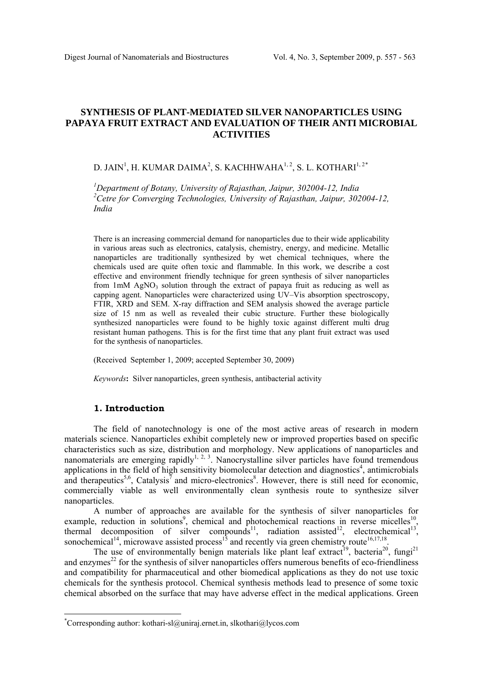# **SYNTHESIS OF PLANT-MEDIATED SILVER NANOPARTICLES USING PAPAYA FRUIT EXTRACT AND EVALUATION OF THEIR ANTI MICROBIAL ACTIVITIES**

# D. JAIN<sup>1</sup>, H. KUMAR DAIMA<sup>2</sup>, S. KACHHWAHA<sup>1, 2</sup>, S. L. KOTHARI<sup>1, 2\*</sup>

*1 Department of Botany, University of Rajasthan, Jaipur, 302004-12, India 2 Cetre for Converging Technologies, University of Rajasthan, Jaipur, 302004-12, India* 

There is an increasing commercial demand for nanoparticles due to their wide applicability in various areas such as electronics, catalysis, chemistry, energy, and medicine. Metallic nanoparticles are traditionally synthesized by wet chemical techniques, where the chemicals used are quite often toxic and flammable. In this work, we describe a cost effective and environment friendly technique for green synthesis of silver nanoparticles from  $1mM$  AgNO<sub>3</sub> solution through the extract of papaya fruit as reducing as well as capping agent. Nanoparticles were characterized using UV–Vis absorption spectroscopy, FTIR, XRD and SEM. X-ray diffraction and SEM analysis showed the average particle size of 15 nm as well as revealed their cubic structure. Further these biologically synthesized nanoparticles were found to be highly toxic against different multi drug resistant human pathogens. This is for the first time that any plant fruit extract was used for the synthesis of nanoparticles.

(Received September 1, 2009; accepted September 30, 2009)

*Keywords***:** Silver nanoparticles, green synthesis, antibacterial activity

#### **1. Introduction**

 $\overline{a}$ 

The field of nanotechnology is one of the most active areas of research in modern materials science. Nanoparticles exhibit completely new or improved properties based on specific characteristics such as size, distribution and morphology. New applications of nanoparticles and nanomaterials are emerging rapidly<sup>1, 2, 3</sup>. Nanocrystalline silver particles have found tremendous applications in the field of high sensitivity biomolecular detection and diagnostics<sup>4</sup>, antimicrobials and therapeutics<sup>5,6</sup>, Catalysis<sup>7</sup> and micro-electronics<sup>8</sup>. However, there is still need for economic, commercially viable as well environmentally clean synthesis route to synthesize silver nanoparticles.

A number of approaches are available for the synthesis of silver nanoparticles for example, reduction in solutions<sup>9</sup>, chemical and photochemical reactions in reverse micelles<sup>10</sup>, thermal decomposition of silver compounds<sup>11</sup>, radiation assisted<sup>12</sup>, electrochemical<sup>13</sup>, sonochemical<sup>14</sup>, microwave assisted process<sup>15</sup> and recently via green chemistry route<sup>16,17,18</sup>.

The use of environmentally benign materials like plant leaf extract<sup>19</sup>, bacteria<sup>20</sup>, fungi<sup>21</sup> and enzymes $^{22}$  for the synthesis of silver nanoparticles offers numerous benefits of eco-friendliness and compatibility for pharmaceutical and other biomedical applications as they do not use toxic chemicals for the synthesis protocol. Chemical synthesis methods lead to presence of some toxic chemical absorbed on the surface that may have adverse effect in the medical applications. Green

<span id="page-0-0"></span><sup>\*</sup> Corresponding author: [kothari-sl@uniraj.ernet.in,](mailto:kothari-sl@uniraj.ernet.in) [slkothari@lycos.com](mailto:slkothari@lycos.com)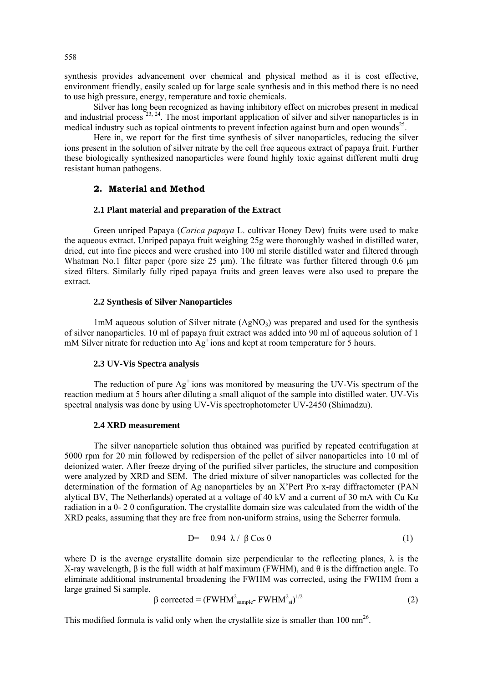synthesis provides advancement over chemical and physical method as it is cost effective, environment friendly, easily scaled up for large scale synthesis and in this method there is no need to use high pressure, energy, temperature and toxic chemicals.

Silver has long been recognized as having inhibitory effect on microbes present in medical and industrial process  $^{23, 24}$ . The most important application of silver and silver nanoparticles is in medical industry such as topical ointments to prevent infection against burn and open wounds<sup>25</sup>.

Here in, we report for the first time synthesis of silver nanoparticles, reducing the silver ions present in the solution of silver nitrate by the cell free aqueous extract of papaya fruit. Further these biologically synthesized nanoparticles were found highly toxic against different multi drug resistant human pathogens.

### **2. Material and Method**

### **2.1 Plant material and preparation of the Extract**

Green unriped Papaya (*Carica papaya* L. cultivar Honey Dew) fruits were used to make the aqueous extract. Unriped papaya fruit weighing 25g were thoroughly washed in distilled water, dried, cut into fine pieces and were crushed into 100 ml sterile distilled water and filtered through Whatman No.1 filter paper (pore size 25 μm). The filtrate was further filtered through 0.6 μm sized filters. Similarly fully riped papaya fruits and green leaves were also used to prepare the extract.

#### **2.2 Synthesis of Silver Nanoparticles**

1mM aqueous solution of Silver nitrate  $(AgNO<sub>3</sub>)$  was prepared and used for the synthesis of silver nanoparticles. 10 ml of papaya fruit extract was added into 90 ml of aqueous solution of 1 mM Silver nitrate for reduction into  $Ag<sup>+</sup>$  ions and kept at room temperature for 5 hours.

#### **2.3 UV-Vis Spectra analysis**

The reduction of pure  $Ag<sup>+</sup>$  ions was monitored by measuring the UV-Vis spectrum of the reaction medium at 5 hours after diluting a small aliquot of the sample into distilled water. UV-Vis spectral analysis was done by using UV-Vis spectrophotometer UV-2450 (Shimadzu).

#### **2.4 XRD measurement**

The silver nanoparticle solution thus obtained was purified by repeated centrifugation at 5000 rpm for 20 min followed by redispersion of the pellet of silver nanoparticles into 10 ml of deionized water. After freeze drying of the purified silver particles, the structure and composition were analyzed by XRD and SEM. The dried mixture of silver nanoparticles was collected for the determination of the formation of Ag nanoparticles by an X'Pert Pro x-ray diffractometer (PAN alytical BV, The Netherlands) operated at a voltage of 40 kV and a current of 30 mA with Cu Kα radiation in a  $\theta$ - 2  $\theta$  configuration. The crystallite domain size was calculated from the width of the XRD peaks, assuming that they are free from non-uniform strains, using the Scherrer formula.

$$
D = 0.94 \ \lambda / \ \beta \cos \theta \tag{1}
$$

where D is the average crystallite domain size perpendicular to the reflecting planes,  $\lambda$  is the X-ray wavelength, β is the full width at half maximum (FWHM), and θ is the diffraction angle. To eliminate additional instrumental broadening the FWHM was corrected, using the FWHM from a large grained Si sample.

$$
\beta \text{ corrected} = (\text{FWHM}^2_{\text{sample}} \text{FWHM}^2_{\text{si}})^{1/2} \tag{2}
$$

This modified formula is valid only when the crystallite size is smaller than 100  $\text{nm}^{26}$ .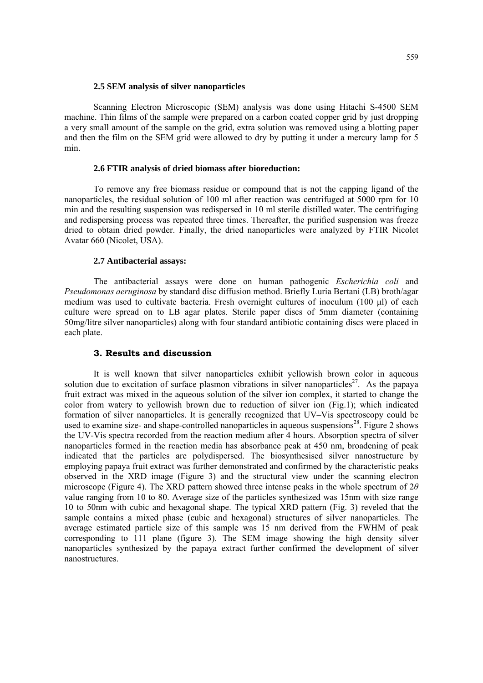#### **2.5 SEM analysis of silver nanoparticles**

Scanning Electron Microscopic (SEM) analysis was done using [Hitachi S-4500 SEM](http://www.mems-exchange.org/equipment/E1321/) machine. Thin films of the sample were prepared on a carbon coated copper grid by just dropping a very small amount of the sample on the grid, extra solution was removed using a blotting paper and then the film on the SEM grid were allowed to dry by putting it under a mercury lamp for 5 min.

### **2.6 FTIR analysis of dried biomass after bioreduction:**

To remove any free biomass residue or compound that is not the capping ligand of the nanoparticles, the residual solution of 100 ml after reaction was centrifuged at 5000 rpm for 10 min and the resulting suspension was redispersed in 10 ml sterile distilled water. The centrifuging and redispersing process was repeated three times. Thereafter, the purified suspension was freeze dried to obtain dried powder. Finally, the dried nanoparticles were analyzed by FTIR Nicolet Avatar 660 (Nicolet, USA).

## **2.7 Antibacterial assays:**

The antibacterial assays were done on human pathogenic *Escherichia coli* and *Pseudomonas aeruginosa* by standard disc diffusion method. Briefly Luria Bertani (LB) broth/agar medium was used to cultivate bacteria. Fresh overnight cultures of inoculum (100 μl) of each culture were spread on to LB agar plates. Sterile paper discs of 5mm diameter (containing 50mg/litre silver nanoparticles) along with four standard antibiotic containing discs were placed in each plate.

# **3. Results and discussion**

It is well known that silver nanoparticles exhibit yellowish brown color in aqueous solution due to excitation of surface plasmon vibrations in silver nanoparticles<sup>27</sup>. As the papaya fruit extract was mixed in the aqueous solution of the silver ion complex, it started to change the color from watery to yellowish brown due to reduction of silver ion (Fig.1); which indicated formation of silver nanoparticles. It is generally recognized that UV–Vis spectroscopy could be used to examine size- and shape-controlled nanoparticles in aqueous suspensions<sup>28</sup>. Figure 2 shows the UV-Vis spectra recorded from the reaction medium after 4 hours. Absorption spectra of silver nanoparticles formed in the reaction media has absorbance peak at 450 nm, broadening of peak indicated that the particles are polydispersed. The biosynthesised silver nanostructure by employing papaya fruit extract was further demonstrated and confirmed by the characteristic peaks observed in the XRD image (Figure 3) and the structural view under the scanning electron microscope (Figure 4). The XRD pattern showed three intense peaks in the whole spectrum of 2*θ* value ranging from 10 to 80. Average size of the particles synthesized was 15nm with size range 10 to 50nm with cubic and hexagonal shape. The typical XRD pattern (Fig. 3) reveled that the sample contains a mixed phase (cubic and hexagonal) structures of silver nanoparticles. The average estimated particle size of this sample was 15 nm derived from the FWHM of peak corresponding to 111 plane (figure 3). The SEM image showing the high density silver nanoparticles synthesized by the papaya extract further confirmed the development of silver nanostructures.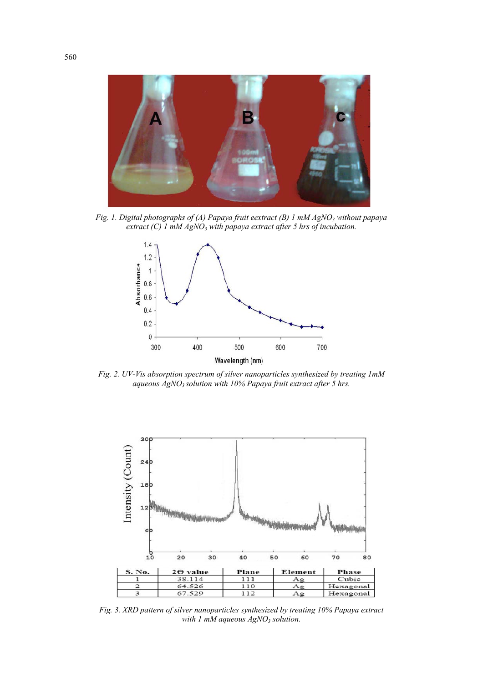

*Fig. 1. Digital photographs of (A) Papaya fruit eextract (B) 1 mM AgNO<sub>3</sub> without papaya* extract (C) 1 mM AgNO<sub>3</sub> with papaya extract after 5 hrs of incubation.



*Fig. 2. UV-Vis absorption spectrum of silver nanoparticles synthesized by treating 1mM aqueous AgNO3 solution with 10% Papaya fruit extract after 5 hrs.* 



*Fig. 3. XRD pattern of silver nanoparticles synthesized by treating 10% Papaya extract with 1 mM aqueous AgNO<sub>3</sub> solution.*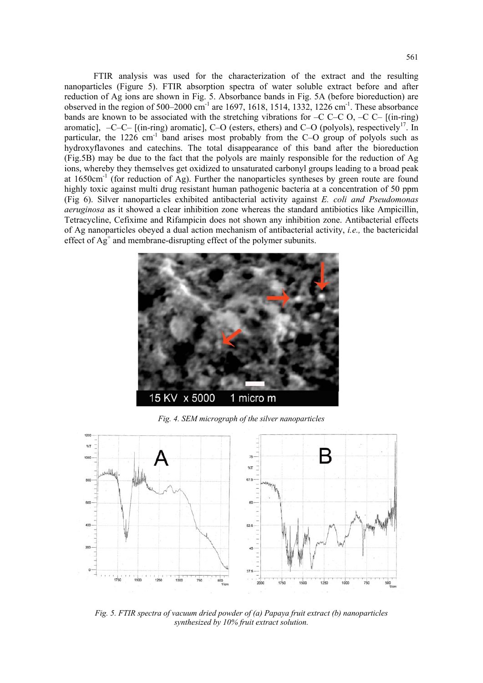FTIR analysis was used for the characterization of the extract and the resulting nanoparticles (Figure 5). FTIR absorption spectra of water soluble extract before and after reduction of Ag ions are shown in Fig. 5. Absorbance bands in Fig. 5A (before bioreduction) are observed in the region of  $500-2000$  cm<sup>-1</sup> are 1697, 1618, 1514, 1332, 1226 cm<sup>-1</sup>. These absorbance bands are known to be associated with the stretching vibrations for  $-C$  C–C  $O$ ,  $-C$   $C$ –  $($ in-ring) aromatic],  $-C-C-$  [(in-ring) aromatic], C–O (esters, ethers) and C–O (polyols), respectively<sup>17</sup>. In particular, the  $1226$  cm<sup>-1</sup> band arises most probably from the C–O group of polyols such as hydroxyflavones and catechins. The total disappearance of this band after the bioreduction (Fig.5B) may be due to the fact that the polyols are mainly responsible for the reduction of Ag ions, whereby they themselves get oxidized to unsaturated carbonyl groups leading to a broad peak at  $1650 \text{cm}^{-1}$  (for reduction of Ag). Further the nanoparticles syntheses by green route are found highly toxic against multi drug resistant human pathogenic bacteria at a concentration of 50 ppm (Fig 6). Silver nanoparticles exhibited antibacterial activity against *E. coli and Pseudomonas aeruginosa* as it showed a clear inhibition zone whereas the standard antibiotics like Ampicillin, Tetracycline, Cefixime and Rifampicin does not shown any inhibition zone. Antibacterial effects of Ag nanoparticles obeyed a dual action mechanism of antibacterial activity, *i.e.,* the bactericidal effect of  $Ag^+$  and membrane-disrupting effect of the polymer subunits.



*Fig. 4. SEM micrograph of the silver nanoparticles* 



*Fig. 5. FTIR spectra of vacuum dried powder of (a) Papaya fruit extract (b) nanoparticles synthesized by 10% fruit extract solution.*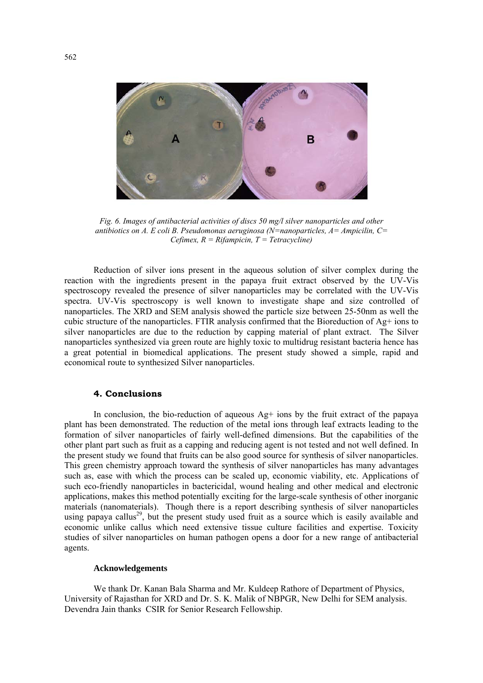

*Fig. 6. Images of antibacterial activities of discs 50 mg/l silver nanoparticles and other antibiotics on A. E coli B. Pseudomonas aeruginosa (N=nanoparticles, A= Ampicilin, C= Cefimex, R = Rifampicin, T = Tetracycline)* 

Reduction of silver ions present in the aqueous solution of silver complex during the reaction with the ingredients present in the papaya fruit extract observed by the UV-Vis spectroscopy revealed the presence of silver nanoparticles may be correlated with the UV-Vis spectra. UV-Vis spectroscopy is well known to investigate shape and size controlled of nanoparticles. The XRD and SEM analysis showed the particle size between 25-50nm as well the cubic structure of the nanoparticles. FTIR analysis confirmed that the Bioreduction of  $Ag$ + ions to silver nanoparticles are due to the reduction by capping material of plant extract. The Silver nanoparticles synthesized via green route are highly toxic to multidrug resistant bacteria hence has a great potential in biomedical applications. The present study showed a simple, rapid and economical route to synthesized Silver nanoparticles.

### **4. Conclusions**

In conclusion, the bio-reduction of aqueous  $Ag<sup>+</sup>$  ions by the fruit extract of the papaya plant has been demonstrated. The reduction of the metal ions through leaf extracts leading to the formation of silver nanoparticles of fairly well-defined dimensions. But the capabilities of the other plant part such as fruit as a capping and reducing agent is not tested and not well defined. In the present study we found that fruits can be also good source for synthesis of silver nanoparticles. This green chemistry approach toward the synthesis of silver nanoparticles has many advantages such as, ease with which the process can be scaled up, economic viability, etc. Applications of such eco-friendly nanoparticles in bactericidal, wound healing and other medical and electronic applications, makes this method potentially exciting for the large-scale synthesis of other inorganic materials (nanomaterials). Though there is a report describing synthesis of silver nanoparticles using papaya callus<sup>29</sup>, but the present study used fruit as a source which is easily available and economic unlike callus which need extensive tissue culture facilities and expertise. Toxicity studies of silver nanoparticles on human pathogen opens a door for a new range of antibacterial agents.

#### **Acknowledgements**

We thank Dr. Kanan Bala Sharma and Mr. Kuldeep Rathore of Department of Physics, University of Rajasthan for XRD and Dr. S. K. Malik of NBPGR, New Delhi for SEM analysis. Devendra Jain thanks CSIR for Senior Research Fellowship.